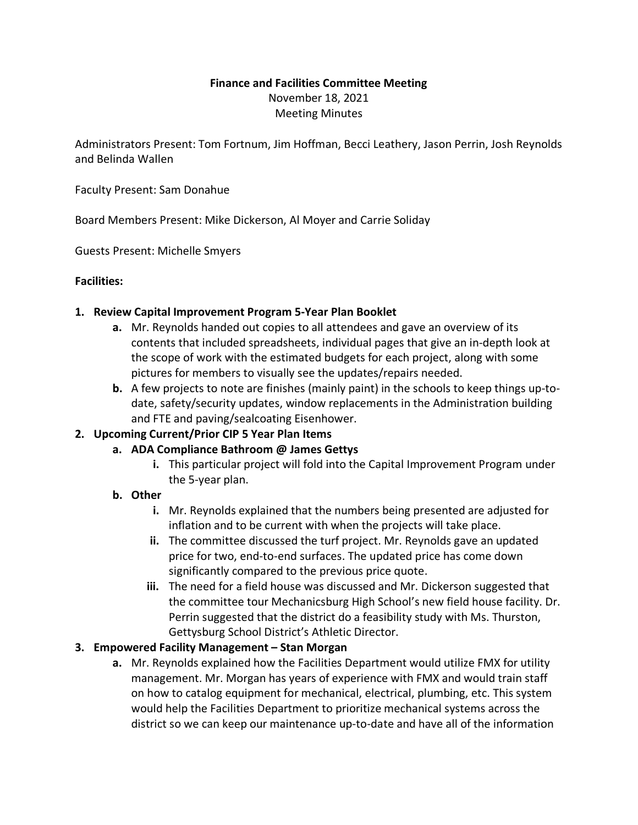# **Finance and Facilities Committee Meeting** November 18, 2021 Meeting Minutes

Administrators Present: Tom Fortnum, Jim Hoffman, Becci Leathery, Jason Perrin, Josh Reynolds and Belinda Wallen

Faculty Present: Sam Donahue

Board Members Present: Mike Dickerson, Al Moyer and Carrie Soliday

Guests Present: Michelle Smyers

#### **Facilities:**

#### **1. Review Capital Improvement Program 5-Year Plan Booklet**

- **a.** Mr. Reynolds handed out copies to all attendees and gave an overview of its contents that included spreadsheets, individual pages that give an in-depth look at the scope of work with the estimated budgets for each project, along with some pictures for members to visually see the updates/repairs needed.
- **b.** A few projects to note are finishes (mainly paint) in the schools to keep things up-todate, safety/security updates, window replacements in the Administration building and FTE and paving/sealcoating Eisenhower.

## **2. Upcoming Current/Prior CIP 5 Year Plan Items**

- **a. ADA Compliance Bathroom @ James Gettys**
	- **i.** This particular project will fold into the Capital Improvement Program under the 5-year plan.

## **b. Other**

- **i.** Mr. Reynolds explained that the numbers being presented are adjusted for inflation and to be current with when the projects will take place.
- **ii.** The committee discussed the turf project. Mr. Reynolds gave an updated price for two, end-to-end surfaces. The updated price has come down significantly compared to the previous price quote.
- **iii.** The need for a field house was discussed and Mr. Dickerson suggested that the committee tour Mechanicsburg High School's new field house facility. Dr. Perrin suggested that the district do a feasibility study with Ms. Thurston, Gettysburg School District's Athletic Director.

## **3. Empowered Facility Management – Stan Morgan**

**a.** Mr. Reynolds explained how the Facilities Department would utilize FMX for utility management. Mr. Morgan has years of experience with FMX and would train staff on how to catalog equipment for mechanical, electrical, plumbing, etc. This system would help the Facilities Department to prioritize mechanical systems across the district so we can keep our maintenance up-to-date and have all of the information